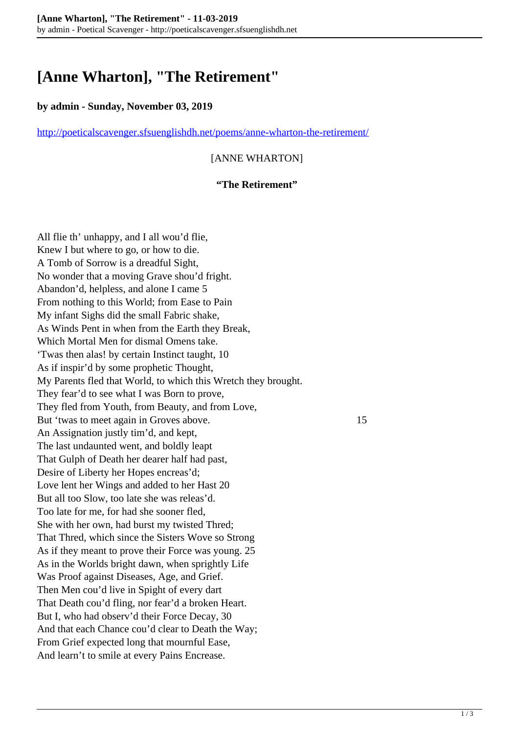# **[Anne Wharton], "The Retirement"**

### **by admin - Sunday, November 03, 2019**

<http://poeticalscavenger.sfsuenglishdh.net/poems/anne-wharton-the-retirement/>

# [ANNE WHARTON]

#### **"The Retirement"**

All flie th' unhappy, and I all wou'd flie, Knew I but where to go, or how to die. A Tomb of Sorrow is a dreadful Sight, No wonder that a moving Grave shou'd fright. Abandon'd, helpless, and alone I came 5 From nothing to this World; from Ease to Pain My infant Sighs did the small Fabric shake, As Winds Pent in when from the Earth they Break, Which Mortal Men for dismal Omens take. 'Twas then alas! by certain Instinct taught, 10 As if inspir'd by some prophetic Thought, My Parents fled that World, to which this Wretch they brought. They fear'd to see what I was Born to prove, They fled from Youth, from Beauty, and from Love, But 'twas to meet again in Groves above. 15 An Assignation justly tim'd, and kept, The last undaunted went, and boldly leapt That Gulph of Death her dearer half had past, Desire of Liberty her Hopes encreas'd; Love lent her Wings and added to her Hast 20 But all too Slow, too late she was releas'd. Too late for me, for had she sooner fled, She with her own, had burst my twisted Thred; That Thred, which since the Sisters Wove so Strong As if they meant to prove their Force was young. 25 As in the Worlds bright dawn, when sprightly Life Was Proof against Diseases, Age, and Grief. Then Men cou'd live in Spight of every dart That Death cou'd fling, nor fear'd a broken Heart. But I, who had observ'd their Force Decay, 30 And that each Chance cou'd clear to Death the Way; From Grief expected long that mournful Ease, And learn't to smile at every Pains Encrease.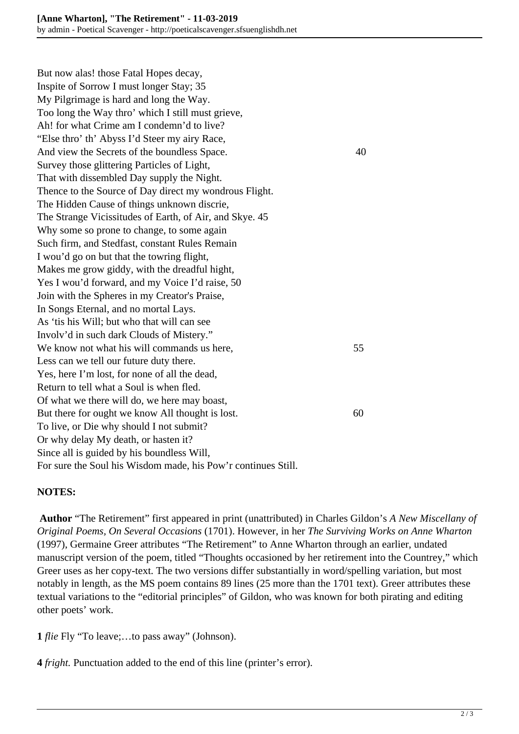But now alas! those Fatal Hopes decay, Inspite of Sorrow I must longer Stay; 35 My Pilgrimage is hard and long the Way. Too long the Way thro' which I still must grieve, Ah! for what Crime am I condemn'd to live? "Else thro' th' Abyss I'd Steer my airy Race, And view the Secrets of the boundless Space. 40 Survey those glittering Particles of Light, That with dissembled Day supply the Night. Thence to the Source of Day direct my wondrous Flight. The Hidden Cause of things unknown discrie, The Strange Vicissitudes of Earth, of Air, and Skye. 45 Why some so prone to change, to some again Such firm, and Stedfast, constant Rules Remain I wou'd go on but that the towring flight, Makes me grow giddy, with the dreadful hight, Yes I wou'd forward, and my Voice I'd raise, 50 Join with the Spheres in my Creator's Praise, In Songs Eternal, and no mortal Lays. As 'tis his Will; but who that will can see Involv'd in such dark Clouds of Mistery." We know not what his will commands us here, 55 Less can we tell our future duty there. Yes, here I'm lost, for none of all the dead, Return to tell what a Soul is when fled. Of what we there will do, we here may boast, But there for ought we know All thought is lost. 60 To live, or Die why should I not submit? Or why delay My death, or hasten it? Since all is guided by his boundless Will, For sure the Soul his Wisdom made, his Pow'r continues Still.

## **NOTES:**

**Author** "The Retirement" first appeared in print (unattributed) in Charles Gildon's *A New Miscellany of Original Poems, On Several Occasions* (1701). However, in her *The Surviving Works on Anne Wharton* (1997), Germaine Greer attributes "The Retirement" to Anne Wharton through an earlier, undated manuscript version of the poem, titled "Thoughts occasioned by her retirement into the Countrey," which Greer uses as her copy-text. The two versions differ substantially in word/spelling variation, but most notably in length, as the MS poem contains 89 lines (25 more than the 1701 text). Greer attributes these textual variations to the "editorial principles" of Gildon, who was known for both pirating and editing other poets' work.

**1** *flie* Fly "To leave;…to pass away" (Johnson).

**4** *fright.* Punctuation added to the end of this line (printer's error).